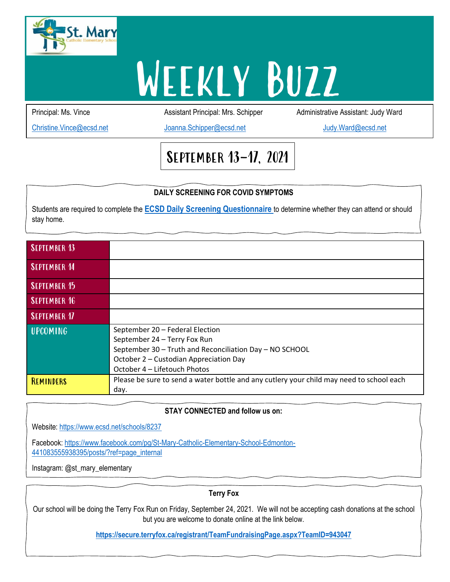

# WEEKLY BUZZ

Principal: Ms. Vince **Assistant Principal: Mrs. Schipper** Administrative Assistant: Judy Ward

[Christine.Vince@ecsd.net](mailto:Christine.Vince@ecsd.net) [Joanna.Schipper@ecsd.net](mailto:Joanna.Schipper@ecsd.net) [Judy.Ward@ecsd.net](mailto:Judy.Ward@ecsd.net)

# September 13-17, 2021

### **DAILY SCREENING FOR COVID SYMPTOMS**

Students are required to complete the **[ECSD Daily Screening Questionnaire](https://sbecsdstor.blob.core.windows.net/media/Default/frf/5/ECSD%20Daily%20Checklist%202021-2022-1.pdf)** to determine whether they can attend or should stay home.

| <b>SEPTEMBER 13</b> |                                                                                                                                                                                                      |
|---------------------|------------------------------------------------------------------------------------------------------------------------------------------------------------------------------------------------------|
| <b>SEPTEMBER 14</b> |                                                                                                                                                                                                      |
| <b>SEPTEMBER 15</b> |                                                                                                                                                                                                      |
| <b>SEPTEMBER 16</b> |                                                                                                                                                                                                      |
| <b>SEPTEMBER 17</b> |                                                                                                                                                                                                      |
| <b>UPCOMING</b>     | September 20 - Federal Election<br>September 24 - Terry Fox Run<br>September 30 - Truth and Reconciliation Day - NO SCHOOL<br>October 2 - Custodian Appreciation Day<br>October 4 – Lifetouch Photos |
| REMINDERS           | Please be sure to send a water bottle and any cutlery your child may need to school each<br>day.                                                                                                     |

#### **DIATION SCRIPPS FOR COVID SOME STAY CONNECTED and follow us on:**

Website: <https://www.ecsd.net/schools/8237>

Facebook: [https://www.facebook.com/pg/St-Mary-Catholic-Elementary-School-Edmonton-](https://www.facebook.com/pg/St-Mary-Catholic-Elementary-School-Edmonton-441083555938395/posts/?ref=page_internal)[441083555938395/posts/?ref=page\\_internal](https://www.facebook.com/pg/St-Mary-Catholic-Elementary-School-Edmonton-441083555938395/posts/?ref=page_internal)

Instagram: @st\_mary\_elementary

**Terry Fox**

Our school will be doing the Terry Fox Run on Friday, September 24, 2021. We will not be accepting cash donations at the school but you are welcome to donate online at the link below.

**<https://secure.terryfox.ca/registrant/TeamFundraisingPage.aspx?TeamID=943047>**